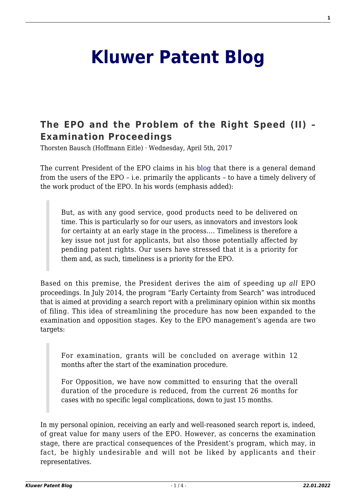# **[Kluwer Patent Blog](http://patentblog.kluweriplaw.com/)**

## **[The EPO and the Problem of the Right Speed \(II\) –](http://patentblog.kluweriplaw.com/2017/04/05/the-epo-and-the-problem-of-the-right-speed-ii-examination-proceedings/) [Examination Proceedings](http://patentblog.kluweriplaw.com/2017/04/05/the-epo-and-the-problem-of-the-right-speed-ii-examination-proceedings/)**

Thorsten Bausch (Hoffmann Eitle) · Wednesday, April 5th, 2017

The current President of the EPO claims in his [blog](http://blog.epo.org/the-epo/expansion-early-certainty/) that there is a general demand from the users of the EPO – i.e. primarily the applicants – to have a timely delivery of the work product of the EPO. In his words (emphasis added):

But, as with any good service, good products need to be delivered on time. This is particularly so for our users, as innovators and investors look for certainty at an early stage in the process…. Timeliness is therefore a key issue not just for applicants, but also those potentially affected by pending patent rights. Our users have stressed that it is a priority for them and, as such, timeliness is a priority for the EPO.

Based on this premise, the President derives the aim of speeding up *all* EPO proceedings. In July 2014, the program "Early Certainty from Search" was introduced that is aimed at providing a search report with a preliminary opinion within six months of filing. This idea of streamlining the procedure has now been expanded to the examination and opposition stages. Key to the EPO management's agenda are two targets:

For examination, grants will be concluded on average within 12 months after the start of the examination procedure.

For Opposition, we have now committed to ensuring that the overall duration of the procedure is reduced, from the current 26 months for cases with no specific legal complications, down to just 15 months.

In my personal opinion, receiving an early and well-reasoned search report is, indeed, of great value for many users of the EPO. However, as concerns the examination stage, there are practical consequences of the President's program, which may, in fact, be highly undesirable and will not be liked by applicants and their representatives.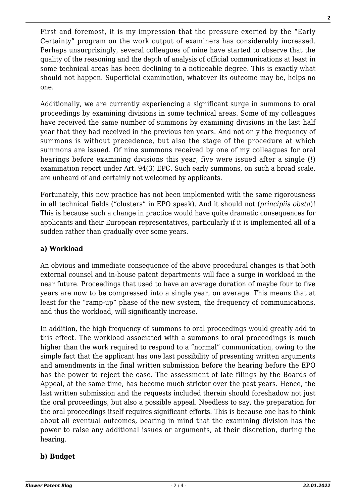First and foremost, it is my impression that the pressure exerted by the "Early Certainty" program on the work output of examiners has considerably increased. Perhaps unsurprisingly, several colleagues of mine have started to observe that the quality of the reasoning and the depth of analysis of official communications at least in some technical areas has been declining to a noticeable degree. This is exactly what should not happen. Superficial examination, whatever its outcome may be, helps no one.

Additionally, we are currently experiencing a significant surge in summons to oral proceedings by examining divisions in some technical areas. Some of my colleagues have received the same number of summons by examining divisions in the last half year that they had received in the previous ten years. And not only the frequency of summons is without precedence, but also the stage of the procedure at which summons are issued. Of nine summons received by one of my colleagues for oral hearings before examining divisions this year, five were issued after a single (!) examination report under Art. 94(3) EPC. Such early summons, on such a broad scale, are unheard of and certainly not welcomed by applicants.

Fortunately, this new practice has not been implemented with the same rigorousness in all technical fields ("clusters" in EPO speak). And it should not (*principiis obsta*)! This is because such a change in practice would have quite dramatic consequences for applicants and their European representatives, particularly if it is implemented all of a sudden rather than gradually over some years.

### **a) Workload**

An obvious and immediate consequence of the above procedural changes is that both external counsel and in-house patent departments will face a surge in workload in the near future. Proceedings that used to have an average duration of maybe four to five years are now to be compressed into a single year, on average. This means that at least for the "ramp-up" phase of the new system, the frequency of communications, and thus the workload, will significantly increase.

In addition, the high frequency of summons to oral proceedings would greatly add to this effect. The workload associated with a summons to oral proceedings is much higher than the work required to respond to a "normal" communication, owing to the simple fact that the applicant has one last possibility of presenting written arguments and amendments in the final written submission before the hearing before the EPO has the power to reject the case. The assessment of late filings by the Boards of Appeal, at the same time, has become much stricter over the past years. Hence, the last written submission and the requests included therein should foreshadow not just the oral proceedings, but also a possible appeal. Needless to say, the preparation for the oral proceedings itself requires significant efforts. This is because one has to think about all eventual outcomes, bearing in mind that the examining division has the power to raise any additional issues or arguments, at their discretion, during the hearing.

### **b) Budget**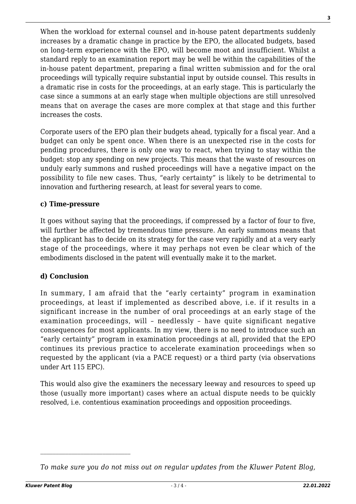When the workload for external counsel and in-house patent departments suddenly increases by a dramatic change in practice by the EPO, the allocated budgets, based on long-term experience with the EPO, will become moot and insufficient. Whilst a standard reply to an examination report may be well be within the capabilities of the in-house patent department, preparing a final written submission and for the oral proceedings will typically require substantial input by outside counsel. This results in a dramatic rise in costs for the proceedings, at an early stage. This is particularly the case since a summons at an early stage when multiple objections are still unresolved means that on average the cases are more complex at that stage and this further increases the costs.

Corporate users of the EPO plan their budgets ahead, typically for a fiscal year. And a budget can only be spent once. When there is an unexpected rise in the costs for pending procedures, there is only one way to react, when trying to stay within the budget: stop any spending on new projects. This means that the waste of resources on unduly early summons and rushed proceedings will have a negative impact on the possibility to file new cases. Thus, "early certainty" is likely to be detrimental to innovation and furthering research, at least for several years to come.

#### **c) Time-pressure**

It goes without saying that the proceedings, if compressed by a factor of four to five, will further be affected by tremendous time pressure. An early summons means that the applicant has to decide on its strategy for the case very rapidly and at a very early stage of the proceedings, where it may perhaps not even be clear which of the embodiments disclosed in the patent will eventually make it to the market.

### **d) Conclusion**

In summary, I am afraid that the "early certainty" program in examination proceedings, at least if implemented as described above, i.e. if it results in a significant increase in the number of oral proceedings at an early stage of the examination proceedings, will – needlessly – have quite significant negative consequences for most applicants. In my view, there is no need to introduce such an "early certainty" program in examination proceedings at all, provided that the EPO continues its previous practice to accelerate examination proceedings when so requested by the applicant (via a PACE request) or a third party (via observations under Art 115 EPC).

This would also give the examiners the necessary leeway and resources to speed up those (usually more important) cases where an actual dispute needs to be quickly resolved, i.e. contentious examination proceedings and opposition proceedings.

*To make sure you do not miss out on regular updates from the Kluwer Patent Blog,*